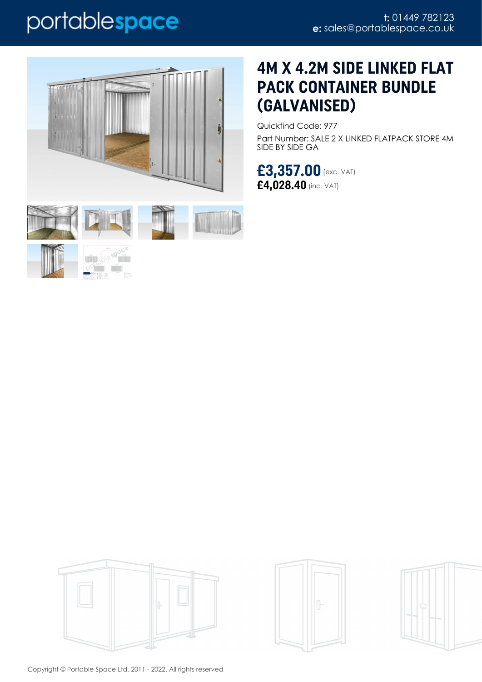# portablespace



# 





## **4M X 4.2M SIDE LINKED FLAT PACK CONTAINER BUNDLE (GALVANISED)**

Quickfind Code: 977 Part Number: SALE 2 X LINKED FLATPACK STORE 4M SIDE BY SIDE GA

**£3,357.00** (exc. VAT) **£4,028.40** (inc. VAT)